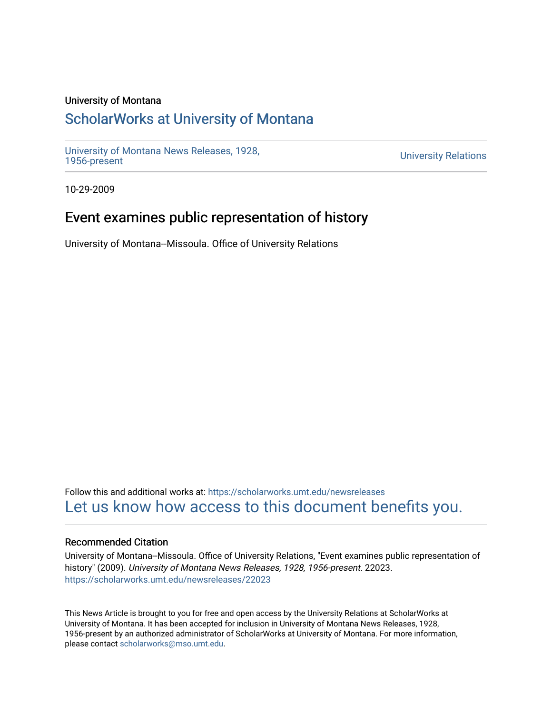### University of Montana

# [ScholarWorks at University of Montana](https://scholarworks.umt.edu/)

[University of Montana News Releases, 1928,](https://scholarworks.umt.edu/newsreleases) 

**University Relations** 

10-29-2009

## Event examines public representation of history

University of Montana--Missoula. Office of University Relations

Follow this and additional works at: [https://scholarworks.umt.edu/newsreleases](https://scholarworks.umt.edu/newsreleases?utm_source=scholarworks.umt.edu%2Fnewsreleases%2F22023&utm_medium=PDF&utm_campaign=PDFCoverPages) [Let us know how access to this document benefits you.](https://goo.gl/forms/s2rGfXOLzz71qgsB2) 

### Recommended Citation

University of Montana--Missoula. Office of University Relations, "Event examines public representation of history" (2009). University of Montana News Releases, 1928, 1956-present. 22023. [https://scholarworks.umt.edu/newsreleases/22023](https://scholarworks.umt.edu/newsreleases/22023?utm_source=scholarworks.umt.edu%2Fnewsreleases%2F22023&utm_medium=PDF&utm_campaign=PDFCoverPages) 

This News Article is brought to you for free and open access by the University Relations at ScholarWorks at University of Montana. It has been accepted for inclusion in University of Montana News Releases, 1928, 1956-present by an authorized administrator of ScholarWorks at University of Montana. For more information, please contact [scholarworks@mso.umt.edu.](mailto:scholarworks@mso.umt.edu)